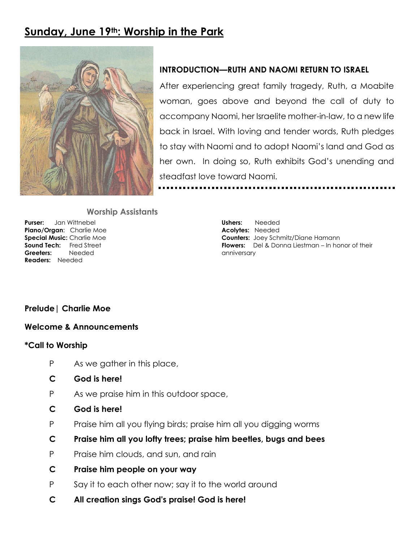# **Sunday, June 19th: Worship in the Park**



## **INTRODUCTION—RUTH AND NAOMI RETURN TO ISRAEL**

After experiencing great family tragedy, Ruth, a Moabite woman, goes above and beyond the call of duty to accompany Naomi, her Israelite mother-in-law, to a new life back in Israel. With loving and tender words, Ruth pledges to stay with Naomi and to adopt Naomi's land and God as her own. In doing so, Ruth exhibits God's unending and steadfast love toward Naomi.

#### **Worship Assistants**

**Purser:** Jan Wittnebel **Piano/Organ**: Charlie Moe **Special Music:** Charlie Moe **Sound Tech:** Fred Street **Greeters:** Needed **Readers:** Needed

**Ushers:** Needed **Acolytes:** Needed **Counters:** Joey Schmitz/Diane Hamann **Flowers:** Del & Donna Liestman – In honor of their anniversary

## **Prelude| Charlie Moe**

#### **Welcome & Announcements**

#### **\*Call to Worship**

- P As we gather in this place,
- **C God is here!**
- P As we praise him in this outdoor space,
- **C God is here!**
- P Praise him all you flying birds; praise him all you digging worms
- **C Praise him all you lofty trees; praise him beetles, bugs and bees**
- P Praise him clouds, and sun, and rain
- **C Praise him people on your way**
- P Say it to each other now; say it to the world around
- **C All creation sings God's praise! God is here!**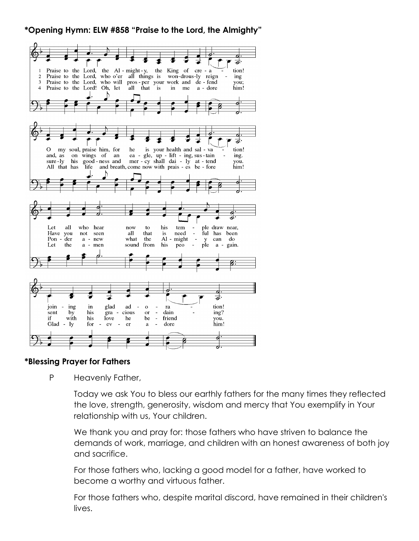# **\*Opening Hymn: ELW #858 "Praise to the Lord, the Almighty"**



#### **\*Blessing Prayer for Fathers**

P Heavenly Father,

Today we ask You to bless our earthly fathers for the many times they reflected the love, strength, generosity, wisdom and mercy that You exemplify in Your relationship with us, Your children.

We thank you and pray for: those fathers who have striven to balance the demands of work, marriage, and children with an honest awareness of both joy and sacrifice.

For those fathers who, lacking a good model for a father, have worked to become a worthy and virtuous father.

For those fathers who, despite marital discord, have remained in their children's lives.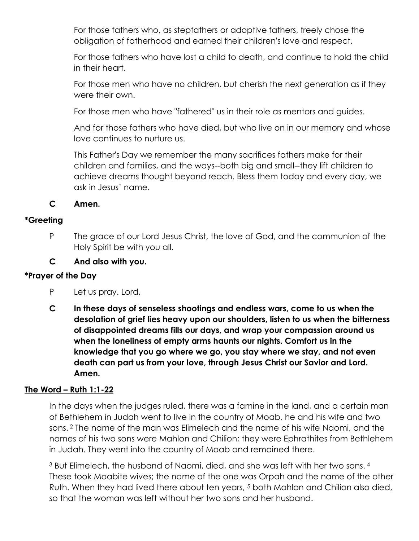For those fathers who, as stepfathers or adoptive fathers, freely chose the obligation of fatherhood and earned their children's love and respect.

For those fathers who have lost a child to death, and continue to hold the child in their heart.

For those men who have no children, but cherish the next generation as if they were their own.

For those men who have "fathered" us in their role as mentors and guides.

And for those fathers who have died, but who live on in our memory and whose love continues to nurture us.

This Father's Day we remember the many sacrifices fathers make for their children and families, and the ways--both big and small--they lift children to achieve dreams thought beyond reach. Bless them today and every day, we ask in Jesus' name.

**C Amen.**

# **\*Greeting**

P The grace of our Lord Jesus Christ, the love of God, and the communion of the Holy Spirit be with you all.

**C And also with you.** 

# **\*Prayer of the Day**

- P Let us pray. Lord,
- **C In these days of senseless shootings and endless wars, come to us when the desolation of grief lies heavy upon our shoulders, listen to us when the bitterness of disappointed dreams fills our days, and wrap your compassion around us when the loneliness of empty arms haunts our nights. Comfort us in the knowledge that you go where we go, you stay where we stay, and not even death can part us from your love, through Jesus Christ our Savior and Lord. Amen.**

# **The Word – Ruth 1:1-22**

In the days when the judges ruled, there was a famine in the land, and a certain man of Bethlehem in Judah went to live in the country of Moab, he and his wife and two sons. <sup>2</sup> The name of the man was Elimelech and the name of his wife Naomi, and the names of his two sons were Mahlon and Chilion; they were Ephrathites from Bethlehem in Judah. They went into the country of Moab and remained there.

<sup>3</sup> But Elimelech, the husband of Naomi, died, and she was left with her two sons. <sup>4</sup> These took Moabite wives; the name of the one was Orpah and the name of the other Ruth. When they had lived there about ten years, <sup>5</sup> both Mahlon and Chilion also died, so that the woman was left without her two sons and her husband.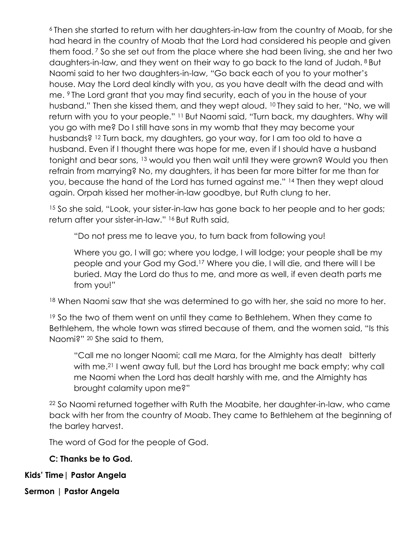<sup>6</sup>Then she started to return with her daughters-in-law from the country of Moab, for she had heard in the country of Moab that the Lord had considered his people and given them food. <sup>7</sup> So she set out from the place where she had been living, she and her two daughters-in-law, and they went on their way to go back to the land of Judah. <sup>8</sup>But Naomi said to her two daughters-in-law, "Go back each of you to your mother's house. May the Lord deal kindly with you, as you have dealt with the dead and with me. 9 The Lord grant that you may find security, each of you in the house of your husband." Then she kissed them, and they wept aloud. 10 They said to her, "No, we will return with you to your people." 11 But Naomi said, "Turn back, my daughters. Why will you go with me? Do I still have sons in my womb that they may become your husbands? <sup>12</sup> Turn back, my daughters, go your way, for I am too old to have a husband. Even if I thought there was hope for me, even if I should have a husband tonight and bear sons, <sup>13</sup> would you then wait until they were grown? Would you then refrain from marrying? No, my daughters, it has been far more bitter for me than for you, because the hand of the Lord has turned against me." <sup>14</sup> Then they wept aloud again. Orpah kissed her mother-in-law goodbye, but Ruth clung to her.

<sup>15</sup> So she said, "Look, your sister-in-law has gone back to her people and to her gods; return after your sister-in-law." 16 But Ruth said,

"Do not press me to leave you, to turn back from following you!

Where you go, I will go; where you lodge, I will lodge; your people shall be my people and your God my God.<sup>17</sup> Where you die, I will die, and there will I be buried. May the Lord do thus to me, and more as well, if even death parts me from you!"

<sup>18</sup> When Naomi saw that she was determined to go with her, she said no more to her.

<sup>19</sup> So the two of them went on until they came to Bethlehem. When they came to Bethlehem, the whole town was stirred because of them, and the women said, "Is this Naomi?" <sup>20</sup> She said to them,

"Call me no longer Naomi; call me Mara, for the Almighty has dealt bitterly with me.<sup>21</sup> I went away full, but the Lord has brought me back empty; why call me Naomi when the Lord has dealt harshly with me, and the Almighty has brought calamity upon me?"

<sup>22</sup> So Naomi returned together with Ruth the Moabite, her daughter-in-law, who came back with her from the country of Moab. They came to Bethlehem at the beginning of the barley harvest.

The word of God for the people of God.

**C: Thanks be to God.**

**Kids' Time| Pastor Angela** 

**Sermon | Pastor Angela**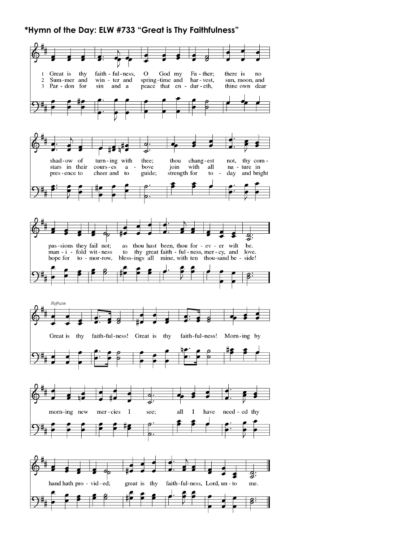#### **\*Hymn of the Day: ELW #733 "Great is Thy Faithfulness"**

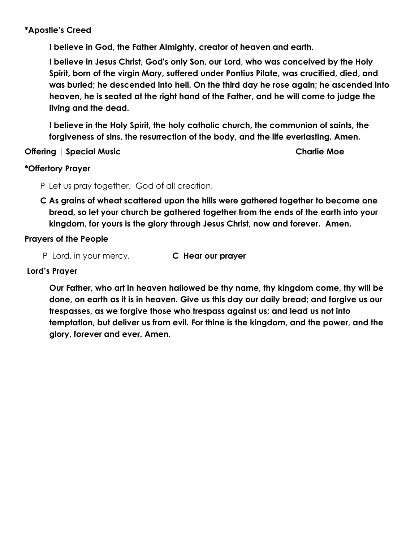### **\*Apostle's Creed**

**I believe in God, the Father Almighty, creator of heaven and earth.** 

**I believe in Jesus Christ, God's only Son, our Lord, who was conceived by the Holy Spirit, born of the virgin Mary, suffered under Pontius Pilate, was crucified, died, and was buried; he descended into hell. On the third day he rose again; he ascended into heaven, he is seated at the right hand of the Father, and he will come to judge the living and the dead.** 

**I believe in the Holy Spirit, the holy catholic church, the communion of saints, the forgiveness of sins, the resurrection of the body, and the life everlasting. Amen.** 

**Offering | Special Music Charlie Moe**

#### **\*Offertory Prayer**

- P Let us pray together. God of all creation,
- **C As grains of wheat scattered upon the hills were gathered together to become one bread, so let your church be gathered together from the ends of the earth into your kingdom, for yours is the glory through Jesus Christ, now and forever. Amen.**

#### **Prayers of the People**

P Lord, in your mercy, **C Hear our prayer** 

#### **Lord's Prayer**

**Our Father, who art in heaven hallowed be thy name, thy kingdom come, thy will be done, on earth as it is in heaven. Give us this day our daily bread; and forgive us our trespasses, as we forgive those who trespass against us; and lead us not into temptation, but deliver us from evil. For thine is the kingdom, and the power, and the glory, forever and ever. Amen.**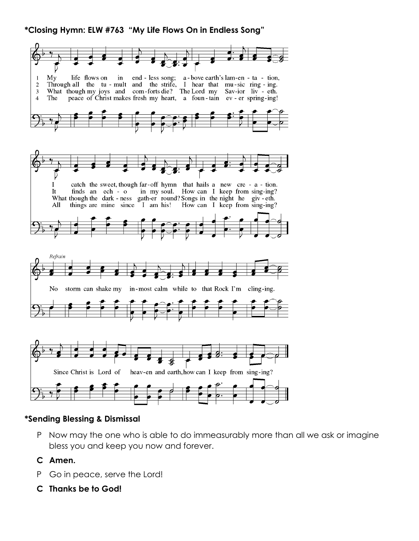**\*Closing Hymn: ELW #763 "My Life Flows On in Endless Song"**



## **\*Sending Blessing & Dismissal**

P Now may the one who is able to do immeasurably more than all we ask or imagine bless you and keep you now and forever.

## **C Amen.**

- P Go in peace, serve the Lord!
- **C Thanks be to God!**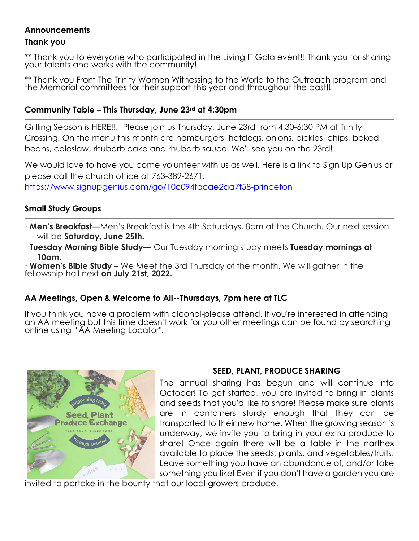# **Announcements**

#### **Thank you**

\*\* Thank you to everyone who participated in the Living IT Gala event!! Thank you for sharing your talents and works with the community!!

\*\* Thank you From The Trinity Women Witnessing to the World to the Outreach program and the Memorial committees for their support this year and throughout the past!!

## **Community Table – This Thursday, June 23rd at 4:30pm**

Grilling Season is HERE!!! Please join us Thursday, June 23rd from 4:30-6:30 PM at Trinity Crossing. On the menu this month are hamburgers, hotdogs, onions, pickles, chips, baked beans, coleslaw, rhubarb cake and rhubarb sauce. We'll see you on the 23rd!

We would love to have you come volunteer with us as well. Here is a link to Sign Up Genius or please call the church office at 763-389-2671. <https://www.signupgenius.com/go/10c094facae2aa7f58-princeton>

## **Small Study Groups**

- · **Men's Breakfast**—Men's Breakfast is the 4th Saturdays, 8am at the Church. Our next session will be **Saturday, June 25th.**
- · **Tuesday Morning Bible Study** Our Tuesday morning study meets **Tuesday mornings at 10am.**

· **Women's Bible Study** – We Meet the 3rd Thursday of the month. We will gather in the fellowship hall next **on July 21st, 2022.**

## **AA Meetings, Open & Welcome to All--Thursdays, 7pm here at TLC**

If you think you have a problem with alcohol-please attend. If you're interested in attending an AA meeting but this time doesn't work for you other meetings can be found by searching online using "AA Meeting Locator".



# **SEED, PLANT, PRODUCE SHARING**

The annual sharing has begun and will continue into October! To get started, you are invited to bring in plants and seeds that you'd like to share! Please make sure plants are in containers sturdy enough that they can be transported to their new home. When the growing season is underway, we invite you to bring in your extra produce to share! Once again there will be a table in the narthex available to place the seeds, plants, and vegetables/fruits. Leave something you have an abundance of, and/or take something you like! Even if you don't have a garden you are

invited to partake in the bounty that our local growers produce.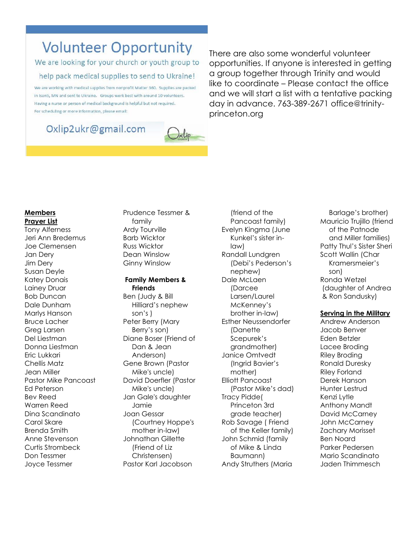# **Volunteer Opportunity**

We are looking for your church or youth group to help pack medical supplies to send to Ukraine!

We are working with medical supplies from nonprofit Matter 360. Supplies are packed in Isanti, MN and sent to Ukraine. Groups work best with around 10 volunteers. Having a nurse or person of medical background is helpful but not required. For scheduling or more information, please email:

# Oxlip2ukr@gmail.com



There are also some wonderful volunteer opportunities. If anyone is interested in getting a group together through Trinity and would like to coordinate – Please contact the office and we will start a list with a tentative packing day in advance. 763-389-2671 office@trinityprinceton.org

#### **Members Prayer List**

Tony Alferness Jeri Ann Bredemus Joe Clemensen Jan Dery Jim Dery Susan Deyle Katey Donais Lainey Druar Bob Duncan Dale Dunham Marlys Hanson Bruce Lacher Greg Larsen Del Liestman Donna Liestman Eric Lukkari Chellis Matz Jean Miller Pastor Mike Pancoast Ed Peterson Bev Reed Warren Reed Dina Scandinato Carol Skare Brenda Smith Anne Stevenson Curtis Strombeck Don Tessmer Joyce Tessmer

Prudence Tessmer & family Ardy Tourville Barb Wicktor Russ Wicktor Dean Winslow Ginny Winslow

#### **Family Members & Friends**

Ben (Judy & Bill Hilliard's nephew son's ) Peter Berry (Mary Berry's son) Diane Boser (Friend of Dan & Jean Anderson) Gene Brown (Pastor Mike's uncle) David Doerfler (Pastor Mike's uncle) Jan Gale's daughter Jamie Joan Gessar (Courtney Hoppe's mother in-law) Johnathan Gillette (Friend of Liz Christensen) Pastor Karl Jacobson

(friend of the Pancoast family) Evelyn Kingma (June Kunkel's sister inlaw) Randall Lundgren (Debi's Pederson's nephew) Dale McLaen (Darcee Larsen/Laurel McKenney's brother in-law) Esther Neussendorfer (Danette Scepurek's grandmother) Janice Omtvedt (Ingrid Bavier's mother) Elliott Pancoast (Pastor Mike's dad) Tracy Pidde( Princeton 3rd grade teacher) Rob Savage ( Friend of the Keller family) John Schmid (family of Mike & Linda Baumann) Andy Struthers (Maria

Barlage's brother) Mauricio Trujillo (friend of the Patnode and Miller families) Patty Thul's Sister Sheri Scott Wallin (Char Kramersmeier's son) Ronda Wetzel (daughter of Andrea & Ron Sandusky)

#### **Serving in the Military**

Andrew Anderson Jacob Benver Eden Betzler Lacee Broding Riley Broding Ronald Duresky Riley Forland Derek Hanson Hunter Lestrud Kenzi Lytle Anthony Mandt David McCarney John McCarney Zachary Morisset Ben Noard Parker Pedersen Mario Scandinato Jaden Thimmesch